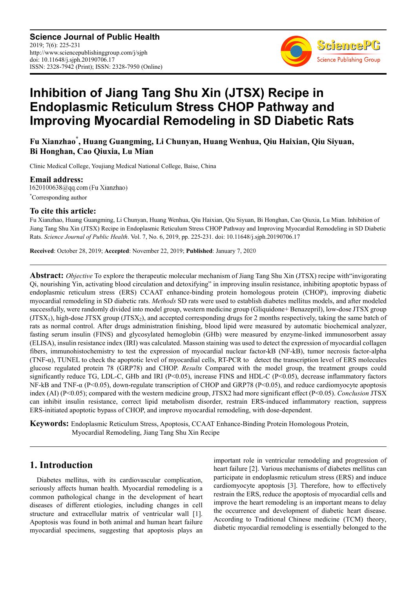**Science Journal of Public Health** 2019; 7(6): 225-231 http://www.sciencepublishinggroup.com/j/sjph doi: 10.11648/j.sjph.20190706.17 ISSN: 2328-7942 (Print); ISSN: 2328-7950 (Online)



# **Inhibition of Jiang Tang Shu Xin (JTSX) Recipe in Endoplasmic Reticulum Stress CHOP Pathway and Improving Myocardial Remodeling in SD Diabetic Rats**

**Fu Xianzhao\* , Huang Guangming, Li Chunyan, Huang Wenhua, Qiu Haixian, Qiu Siyuan, Bi Honghan, Cao Qiuxia, Lu Mian** 

Clinic Medical College, Youjiang Medical National College, Baise, China

**Email address:**<br>1620100638@qq.com (Fu Xianzhao) \*Corresponding author

## **To cite this article:**

Fu Xianzhao, Huang Guangming, Li Chunyan, Huang Wenhua, Qiu Haixian, Qiu Siyuan, Bi Honghan, Cao Qiuxia, Lu Mian. Inhibition of Jiang Tang Shu Xin (JTSX) Recipe in Endoplasmic Reticulum Stress CHOP Pathway and Improving Myocardial Remodeling in SD Diabetic Rats. *Science Journal of Public Health*. Vol. 7, No. 6, 2019, pp. 225-231. doi: 10.11648/j.sjph.20190706.17

**Received**: October 28, 2019; **Accepted**: November 22, 2019; **Published**: January 7, 2020

**Abstract:** *Objective* To explore the therapeutic molecular mechanism of Jiang Tang Shu Xin (JTSX) recipe with"invigorating Qi, nourishing Yin, activating blood circulation and detoxifying" in improving insulin resistance, inhibiting apoptotic bypass of endoplasmic reticulum stress (ERS) CCAAT enhance-binding protein homologous protein (CHOP), improving diabetic myocardial remodeling in SD diabetic rats. *Methods* SD rats were used to establish diabetes mellitus models, and after modeled successfully, were randomly divided into model group, western medicine group (Gliquidone+ Benazepril), low-dose JTSX group  $(JTSX<sub>1</sub>)$ , high-dose JTSX group  $(JTSX<sub>2</sub>)$ , and accepted corresponding drugs for 2 months respectively, taking the same batch of rats as normal control. After drugs administration finishing, blood lipid were measured by automatic biochemical analyzer, fasting serum insulin (FINS) and glycosylated hemoglobin (GHb) were measured by enzyme-linked immunosorbent assay (ELISA), insulin resistance index (IRI) was calculated. Masson staining was used to detect the expression of myocardial collagen fibers, immunohistochemistry to test the expression of myocardial nuclear factor-kB (NF-kB), tumor necrosis factor-alpha (TNF-α), TUNEL to check the apoptotic level of myocardial cells, RT-PCR to detect the transcription level of ERS molecules glucose regulated protein 78 (GRP78) and CHOP. *Results* Compared with the model group, the treatment groups could significantly reduce TG, LDL-C, GHb and IRI (P<0.05), increase FINS and HDL-C (P<0.05), decrease inflammatory factors NF-kB and TNF-α (P<0.05), down-regulate transcription of CHOP and GRP78 (P<0.05), and reduce cardiomyocyte apoptosis index (AI) (P<0.05); compared with the western medicine group, JTSX2 had more significant effect (P<0.05). *Conclusion* JTSX can inhibit insulin resistance, correct lipid metabolism disorder, restrain ERS-induced inflammatory reaction, suppress ERS-initiated apoptotic bypass of CHOP, and improve myocardial remodeling, with dose-dependent.

**Keywords:** Endoplasmic Reticulum Stress, Apoptosis, CCAAT Enhance-Binding Protein Homologous Protein, Myocardial Remodeling, Jiang Tang Shu Xin Recipe

# **1. Introduction**

Diabetes mellitus, with its cardiovascular complication, seriously affects human health. Myocardial remodeling is a common pathological change in the development of heart diseases of different etiologies, including changes in cell structure and extracellular matrix of ventricular wall [1]. Apoptosis was found in both animal and human heart failure myocardial specimens, suggesting that apoptosis plays an important role in ventricular remodeling and progression of heart failure [2]. Various mechanisms of diabetes mellitus can participate in endoplasmic reticulum stress (ERS) and induce cardiomyocyte apoptosis [3]. Therefore, how to effectively restrain the ERS, reduce the apoptosis of myocardial cells and improve the heart remodeling is an important means to delay the occurrence and development of diabetic heart disease. According to Traditional Chinese medicine (TCM) theory, diabetic myocardial remodeling is essentially belonged to the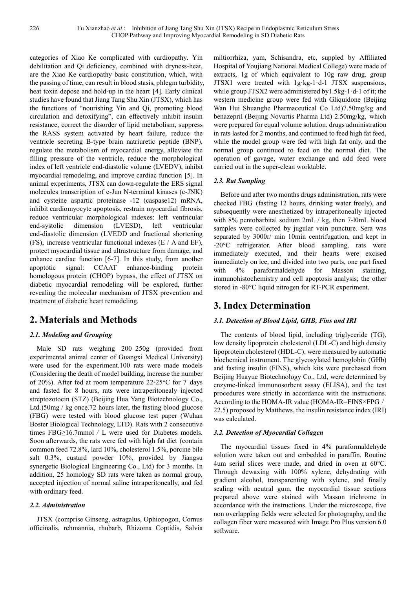categories of Xiao Ke complicated with cardiopathy. Yin debilitation and Qi deficiency, combined with dryness-heat, are the Xiao Ke cardiopathy basic constitution, which, with the passing of time, can result in blood stasis, phlegm turbidity, heat toxin depose and hold-up in the heart [4]. Early clinical studies have found that Jiang Tang Shu Xin (JTSX), which has the functions of "nourishing Yin and Qi, promoting blood circulation and detoxifying", can effectively inhibit insulin resistance, correct the disorder of lipid metabolism, suppress the RASS system activated by heart failure, reduce the ventricle secreting B-type brain natriuretic peptide (BNP), regulate the metabolism of myocardial energy, alleviate the filling pressure of the ventricle, reduce the morphological index of left ventricle end-diastolic volume (LVEDV), inhibit myocardial remodeling, and improve cardiac function [5]. In animal experiments, JTSX can down-regulate the ERS signal molecules transcription of c-Jun N-terminal kinases (c-JNK) and cysteine aspartic proteinase -12 (caspase12) mRNA, inhibit cardiomyocyte apoptosis, restrain myocardial fibrosis, reduce ventricular morphological indexes: left ventricular end-systolic dimension (LVESD), left ventricular end-diastolic dimension (LVEDD and fractional shortening (FS), increase ventricular functional indexes (E / A and EF), protect myocardial tissue and ultrastructure from damage, and enhance cardiac function [6-7]. In this study, from another apoptotic signal: CCAAT enhance-binding protein homologous protein (CHOP) bypass, the effect of JTSX on diabetic myocardial remodeling will be explored, further revealing the molecular mechanism of JTSX prevention and treatment of diabetic heart remodeling.

# **2. Materials and Methods**

# *2.1. Modeling and Grouping*

Male SD rats weighing 200–250g (provided from experimental animal center of Guangxi Medical University) were used for the experiment.100 rats were made models (Considering the death of model building, increase the number of 20%). After fed at room temperature 22-25°C for 7 days and fasted for 8 hours, rats were intraperitonealy injected streptozotoein (STZ) (Beijing Hua Yang Biotechnology Co., Ltd.)50mg / kg once.72 hours later, the fasting blood glucose (FBG) were tested with blood glucose test paper (Wuhan Boster Biological Technology, LTD). Rats with 2 consecutive times FBG≥16.7mmol/L were used for Diabetes models. Soon afterwards, the rats were fed with high fat diet (contain common feed 72.8%, lard 10%, cholesterol 1.5%, porcine bile salt 0.3%, custard powder 10%, provided by Jiangsu synergetic Biological Engineering Co., Ltd) for 3 months. In addition, 25 homology SD rats were taken as normal group, accepted injection of normal saline intraperitoneally, and fed with ordinary feed.

## *2.2. Administration*

JTSX (comprise Ginseng, astragalus, Ophiopogon, Cornus officinalis, rehmannia, rhubarb, Rhizoma Coptidis, Salvia miltiorrhiza, yam, Schisandra, etc, suppled by Affiliated Hospital of Youjiang National Medical College) were made of extracts, 1g of which equivalent to 10g raw drug. group JTSX1 were treated with 1g·kg-1·d-1 JTSX suspensions, while group JTSX2 were administered by1.5kg-1·d-1 of it; the western medicine group were fed with Gliquidone (Beijing Wan Hui Shuanghe Pharmaceutical Co Ltd)7.50mg/kg and benazepril (Beijing Novartis Pharma Ltd) 2.50mg/kg, which were prepared for equal volume solution. drugs administration in rats lasted for 2 months, and continued to feed high fat feed, while the model group were fed with high fat only, and the normal group continued to feed on the normal diet. The operation of gavage, water exchange and add feed were carried out in the super-clean worktable.

# *2.3. Rat Sampling*

Before and after two months drugs administration, rats were checked FBG (fasting 12 hours, drinking water freely), and subsequently were anesthetized by intraperitoneally injected with 8% pentobarbital sodium 2mL / kg, then 7-l0mL blood samples were collected by jugular vein puncture. Sera was separated by 3000r/ min 10min centrifugation, and kept in -20°C refrigerator. After blood sampling, rats were immediately executed, and their hearts were excised immediately on ice, and divided into two parts, one part fixed with 4% paraformaldehyde for Masson staining, immunohistochemistry and cell apoptosis analysis; the other stored in -80°C liquid nitrogen for RT-PCR experiment.

# **3. Index Determination**

## *3.1. Detection of Blood Lipid, GHB, Fins and IRI*

The contents of blood lipid, including triglyceride (TG), low density lipoprotein cholesterol (LDL-C) and high density lipoprotein cholesterol (HDL-C), were measured by automatic biochemical instrument. The glycosylated hemoglobin (GHb) and fasting insulin (FINS), which kits were purchased from Beijing Huayue Biotechnology Co., Ltd, were determined by enzyme-linked immunosorbent assay (ELISA), and the test procedures were strictly in accordance with the instructions. According to the HOMA-IR value (HOMA-IR=FINS×FPG/ 22.5) proposed by Matthews, the insulin resistance index (IRI) was calculated.

## *3.2. Detection of Myocardial Collagen*

The myocardial tissues fixed in 4% paraformaldehyde solution were taken out and embedded in paraffin. Routine 4um serial slices were made, and dried in oven at 60°C. Through dewaxing with 100% xylene, dehydrating with gradient alcohol, transparenting with xylene, and finally sealing with neutral gum, the myocardial tissue sections prepared above were stained with Masson trichrome in accordance with the instructions. Under the microscope, five non overlapping fields were selected for photography, and the collagen fiber were measured with Image Pro Plus version 6.0 software.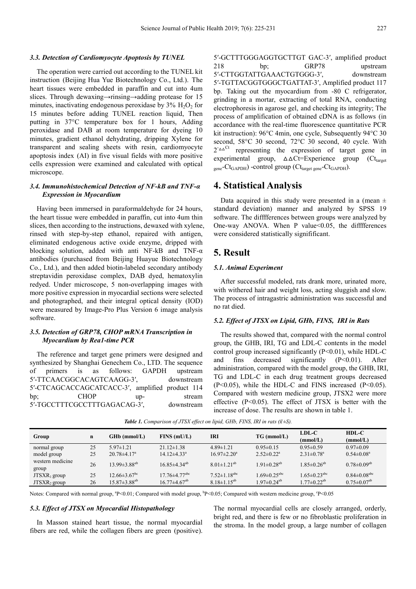The operation were carried out according to the TUNEL kit instruction (Beijing Hua Yue Biotechnology Co., Ltd.). The heart tissues were embedded in paraffin and cut into 4um slices. Through dewaxing→rinsing→adding protease for 15 minutes, inactivating endogenous peroxidase by  $3\%$  H<sub>2</sub>O<sub>2</sub> for 15 minutes before adding TUNEL reaction liquid, Then putting in 37°C temperature box for 1 hours, Adding peroxidase and DAB at room temperature for dyeing 10 minutes, gradient ethanol dehydrating, dripping Xylene for transparent and sealing sheets with resin, cardiomyocyte apoptosis index (AI) in five visual fields with more positive cells expression were examined and calculated with optical microscope.

#### *3.4. Immunohistochemical Detection of NF-kB and TNF-α Expression in Myocardium*

Having been immersed in paraformaldehyde for 24 hours, the heart tissue were embedded in paraffin, cut into 4um thin slices, then according to the instructions, dewaxed with xylene, rinsed with step-by-step ethanol, repaired with antigen, eliminated endogenous active oxide enzyme, dripped with blocking solution, added with anti NF-kB and TNF- $\alpha$ antibodies (purchased from Beijing Huayue Biotechnology Co., Ltd.), and then added biotin-labeled secondary antibody streptavidin peroxidase complex, DAB dyed, hematoxylin redyed. Under microscope, 5 non-overlapping images with more positive expression in myocardial sections were selected and photographed, and their integral optical density (IOD) were measured by Image-Pro Plus Version 6 image analysis software.

#### *3.5. Detection of GRP78, CHOP mRNA Transcription in Myocardium by Rea1-time PCR*

The reference and target gene primers were designed and synthesized by Shanghai Genechem Co., LTD. The sequence of primers is as follows: GAPDH upstream 5′-TTCAACGGCACAGTCAAGG-3′, downstream 5′-CTCAGCACCAGCATCACC-3′, amplified product 114 bp; CHOP up- stream 5′-TGCCTTTCGCCTTTGAGACAG-3′, downstream 5′-GCTTTGGGAGGTGCTTGT GAC-3′, amplified product 218 bp; GRP78 upstream 5′-CTTGGTATTGAAACTGTGGG-3′, downstream 5′-TGTTACGGTGGGCTGATTAT-3′, Amplified product 117 bp. Taking out the myocardium from -80 C refrigerator, grinding in a mortar, extracting of total RNA, conducting electrophoresis in agarose gel, and checking its integrity; The process of amplification of obtained cDNA is as follows (in accordance with the real-time fluorescence quantitative PCR kit instruction): 96°C 4min, one cycle, Subsequently 94°C 30 second, 58°C 30 second, 72°C 30 second, 40 cycle. With  $2^{-\Delta\Delta}$ <sup>Ct</sup> representing the expression of target gene in experimental group,  $\triangle \triangle C t =$ Experience group (Ct<sub>target</sub> gene- $Ct_{\text{GAPDH}}$ ) -control group ( $Ct_{\text{target gene}}$ - $Ct_{\text{GAPDH}}$ ).

# **4. Statistical Analysis**

Data acquired in this study were presented in a (mean  $\pm$ standard deviation) manner and analyzed by SPSS 19 software. The difffferences between groups were analyzed by One-way ANOVA. When P value<0.05, the difffferences were considered statistically signifificant.

# **5. Result**

#### *5.1. Animal Experiment*

After successful modeled, rats drank more, urinated more, with withered hair and weight loss, acting sluggish and slow. The process of intragastric administration was successful and no rat died.

#### *5.2. Effect of JTSX on Lipid, GHb, FINS, IRI in Rats*

The results showed that, compared with the normal control group, the GHB, IRI, TG and LDL-C contents in the model control group increased significantly (P<0.01), while HDL-C and fins decreased significantly (P<0.01). After administration, compared with the model group, the GHB, IRI, TG and LDL-C in each drug treatment groups decreased  $(P<0.05)$ , while the HDL-C and FINS increased  $(P<0.05)$ . Compared with western medicine group, JTSX2 were more effective  $(P<0.05)$ . The effect of JTSX is better with the increase of dose. The results are shown in table 1.

| Group                              | n        | $GHb$ (mmol/L)                                          | $FINS$ (mU/L)                                                     | <b>IRI</b>                                             | $TG$ (mmol/L)                                                   | $LDL-C$<br>(mmol/L)                                             | $HDL-C$<br>(mmol/L)                                             |
|------------------------------------|----------|---------------------------------------------------------|-------------------------------------------------------------------|--------------------------------------------------------|-----------------------------------------------------------------|-----------------------------------------------------------------|-----------------------------------------------------------------|
| normal group                       | 25       | $5.97 \pm 1.21$                                         | $21.12 \pm 1.38$                                                  | $4.89 \pm 1.21$                                        | $0.95 \pm 0.15$                                                 | $0.95 \pm 0.59$                                                 | $0.97 \pm 0.09$                                                 |
| model group                        | 25       | $20.78\pm4.17^{\circ}$                                  | $14.12\pm4.33^a$                                                  | $16.97 \pm 2.20^a$                                     | $2.52 \pm 0.22$ <sup>a</sup>                                    | $2.31 \pm 0.78$ <sup>a</sup>                                    | $0.54 \pm 0.08^a$                                               |
| western medicine<br>group          | 26       | $13.99 \pm 3.88^{ab}$                                   | $16.85\pm4.34^{ab}$                                               | $8.01 \pm 1.21^{ab}$                                   | $1.91 \pm 0.28^{ab}$                                            | $1.85 \pm 0.26^{ab}$                                            | $0.78 \pm 0.09^{ab}$                                            |
| $JTSXR_1$ group<br>$JTSXR_2$ group | 25<br>26 | $12.66 \pm 3.67$ <sup>bc</sup><br>$15.87 \pm 3.88^{ab}$ | $17.76 \pm 4.77$ <sup>abc</sup><br>$16.77 \pm 4.67$ <sup>ab</sup> | $7.52 \pm 1.18$ <sup>abc</sup><br>$8.18 \pm 1.15^{ab}$ | $1.69 \pm 0.25$ <sup>abc</sup><br>$1.97 \pm 0.24$ <sup>ab</sup> | $1.65 \pm 0.23$ <sup>abc</sup><br>$1.77 \pm 0.22$ <sup>ab</sup> | $0.84 \pm 0.08$ <sup>abc</sup><br>$0.75 \pm 0.07$ <sup>ab</sup> |

**Table 1.** Comparison of JTSX effect on lipid, GHb, FINS, IRI in rats  $(\bar{x} \pm S)$ .

Notes: Compared with normal group,  ${}^{9}P<0.01$ ; Compared with model group,  ${}^{b}P<0.05$ ; Compared with western medicine group,  ${}^{c}P<0.05$ 

#### *5.3. Effect of JTSX on Myocardial Histopathology*

In Masson stained heart tissue, the normal myocardial fibers are red, while the collagen fibers are green (positive). The normal myocardial cells are closely arranged, orderly, bright red, and there is few or no fibroblastic proliferation in the stroma. In the model group, a large number of collagen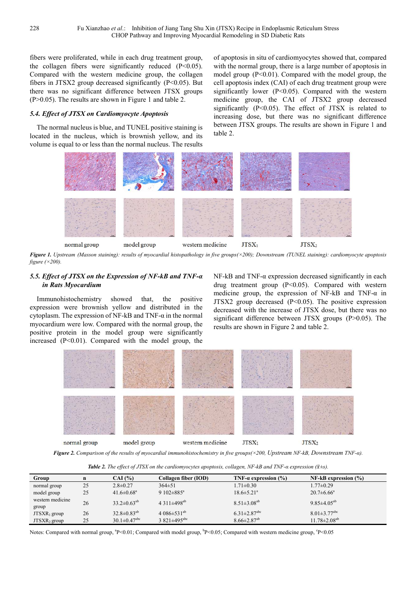fibers were proliferated, while in each drug treatment group, the collagen fibers were significantly reduced  $(P<0.05)$ . Compared with the western medicine group, the collagen fibers in JTSX2 group decreased significantly  $(P<0.05)$ . But there was no significant difference between JTSX groups (P>0.05). The results are shown in Figure 1 and table 2.

#### *5.4. Effect of JTSX on Cardiomyocyte Apoptosis*

The normal nucleus is blue, and TUNEL positive staining is located in the nucleus, which is brownish yellow, and its volume is equal to or less than the normal nucleus. The results of apoptosis in situ of cardiomyocytes showed that, compared with the normal group, there is a large number of apoptosis in model group (P<0.01). Compared with the model group, the cell apoptosis index (CAI) of each drug treatment group were significantly lower (P<0.05). Compared with the western medicine group, the CAI of JTSX2 group decreased significantly (P<0.05). The effect of JTSX is related to increasing dose, but there was no significant difference between JTSX groups. The results are shown in Figure 1 and table 2.



*Figure 1. Upstream (Masson staining): results of myocardial histopathology in five groups(×200); Downstream (TUNEL staining): cardiomyocyte apoptosis figure (×200).* 

#### *5.5. Effect of JTSX on the Expression of NF-kB and TNF-α in Rats Myocardium*

Immunohistochemistry showed that, the positive expression were brownish yellow and distributed in the cytoplasm. The expression of NF-kB and TNF- $\alpha$  in the normal myocardium were low. Compared with the normal group, the positive protein in the model group were significantly increased  $(P<0.01)$ . Compared with the model group, the

NF-kB and TNF-α expression decreased significantly in each drug treatment group (P<0.05). Compared with western medicine group, the expression of NF-kB and TNF- $\alpha$  in JTSX2 group decreased  $(P<0.05)$ . The positive expression decreased with the increase of JTSX dose, but there was no significant difference between JTSX groups (P>0.05). The results are shown in Figure 2 and table 2.



*Figure 2. Comparison of the results of myocardial immunohistochemistry in five groups(×200, Upstream NF-kB, Downstream TNF-α).* 

| <b>Twore 2.</b> The effect of $\sigma$ for the caratomyocytes apoptosis, come can no and first a capitosion ( $\lambda = 0$ ). |    |                                  |                                |                                  |                                |  |  |  |  |
|--------------------------------------------------------------------------------------------------------------------------------|----|----------------------------------|--------------------------------|----------------------------------|--------------------------------|--|--|--|--|
| Group                                                                                                                          | n  | $CAI$ $\left(\frac{9}{6}\right)$ | Collagen fiber (IOD)           | TNF- $\alpha$ expression $(\% )$ | $NF-kB$ expression $(\% )$     |  |  |  |  |
| normal group                                                                                                                   | 25 | $2.8 \pm 0.27$                   | $364 \pm 51$                   | $1.71 \pm 0.30$                  | $1.77 \pm 0.29$                |  |  |  |  |
| model group                                                                                                                    | 25 | $41.6 \pm 0.68$ <sup>a</sup>     | 9 $102 \pm 885$ <sup>a</sup>   | $18.6 \pm 5.21^{\circ}$          | $20.7 \pm 6.66^{\circ}$        |  |  |  |  |
| western medicine<br>group                                                                                                      | 26 | $33.2 \pm 0.63^{ab}$             | 4 3 $11 \pm 498$ <sup>ab</sup> | $8.51 \pm 3.08^{ab}$             | $9.85 \pm 4.05^{ab}$           |  |  |  |  |
| $JTSXR_1$ group                                                                                                                | 26 | $32.8 \pm 0.83^{ab}$             | 4 086 $\pm$ 531 <sup>ab</sup>  | $6.31 \pm 2.87$ <sup>abc</sup>   | $8.01 \pm 3.77$ <sup>abc</sup> |  |  |  |  |
| $JTSXR_2$ group                                                                                                                | 25 | $30.1 \pm 0.47$ <sup>abc</sup>   | 3 821 $\pm$ 495 <sup>abc</sup> | $8.66 \pm 2.87$ <sup>ab</sup>    | $11.78 \pm 2.08^{ab}$          |  |  |  |  |

*Table 2. The effect of JTSX on the cardiomyocytes apoptosis, collagen, NF-kB and TNF-α expression (* $\bar{x}$ *±s).* 

Notes: Compared with normal group,  ${}^{9}P<0.01$ ; Compared with model group,  ${}^{b}P<0.05$ ; Compared with western medicine group,  ${}^{c}P<0.05$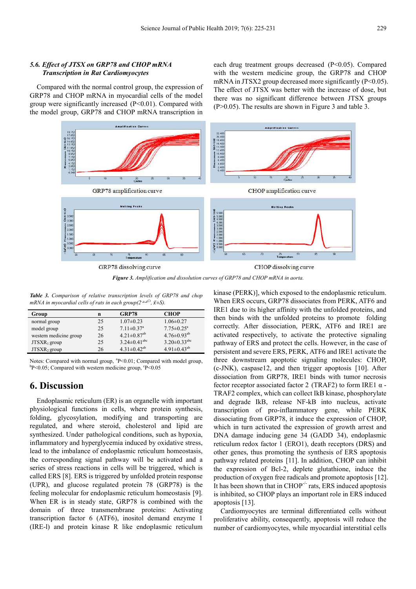# *5.6. Effect of JTSX on GRP78 and CHOP mRNA Transcription in Rat Cardiomyocytes*

Compared with the normal control group, the expression of GRP78 and CHOP mRNA in myocardial cells of the model group were significantly increased (P<0.01). Compared with the model group, GRP78 and CHOP mRNA transcription in

each drug treatment groups decreased (P<0.05). Compared with the western medicine group, the GRP78 and CHOP mRNA in JTSX2 group decreased more significantly  $(P<0.05)$ . The effect of JTSX was better with the increase of dose, but there was no significant difference between JTSX groups (P>0.05). The results are shown in Figure 3 and table 3.



*Figure 3. Amplification and dissolution curves of GRP78 and CHOP mRNA in aorta.* 

*Table 3. Comparison of relative transcription levels of GRP78 and chop mRNA in myocardial cells of rats in each group(* $2$ *<sup>-* $\triangle A$ *Ct</sup>,*  $\bar{x}$ *±S).* 

| Group                  | n  | <b>GRP78</b>                   | <b>CHOP</b>                    |
|------------------------|----|--------------------------------|--------------------------------|
| normal group           | 25 | $1.07 \pm 0.23$                | $1.06 \pm 0.27$                |
| model group            | 25 | $7.11 \pm 0.37$ <sup>a</sup>   | $7.75 \pm 0.25$ <sup>a</sup>   |
| western medicine group | 26 | $4.21 \pm 0.87$ <sup>ab</sup>  | $4.76 \pm 0.93^{ab}$           |
| $JTSXR_1$ group        | 25 | $3.24 \pm 0.41$ <sup>abc</sup> | $3.20 \pm 0.33$ <sup>abc</sup> |
| $JTSXR_2$ group        | 26 | $4.31 \pm 0.42$ <sup>ab</sup>  | $4.91 \pm 0.43^{ab}$           |

Notes: Compared with normal group, <sup>a</sup>P<0.01; Compared with model group,  $\mathrm{^{b}P}$  < 0.05; Compared with western medicine group,  $\mathrm{^{c}P}$  < 0.05

# **6. Discussion**

Endoplasmic reticulum (ER) is an organelle with important physiological functions in cells, where protein synthesis, folding, glycosylation, modifying and transporting are regulated, and where steroid, cholesterol and lipid are synthesized. Under pathological conditions, such as hypoxia, inflammatory and hyperglycemia induced by oxidative stress, lead to the imbalance of endoplasmic reticulum homeostasis, the corresponding signal pathway will be activated and a series of stress reactions in cells will be triggered, which is called ERS [8]. ERS is triggered by unfolded protein response (UPR), and glucose regulated protein 78 (GRP78) is the feeling molecular for endoplasmic reticulum homeostasis [9]. When ER is in steady state, GRP78 is combined with the domain of three transmembrane proteins: Activating transcription factor 6 (ATF6), inositol demand enzyme 1 (IRE-l) and protein kinase R like endoplasmic reticulum

kinase (PERK)], which exposed to the endoplasmic reticulum. When ERS occurs, GRP78 dissociates from PERK, ATF6 and IRE1 due to its higher affinity with the unfolded proteins, and then binds with the unfolded proteins to promote folding correctly. After dissociation, PERK, ATF6 and IRE1 are activated respectively, to activate the protective signaling pathway of ERS and protect the cells. However, in the case of persistent and severe ERS, PERK, ATF6 and IRE1 activate the three downstream apoptotic signaling molecules: CHOP, (c-JNK), caspase12, and then trigger apoptosis [10]. After dissociation from GRP78, IRE1 binds with tumor necrosis fector receptor associated factor 2 (TRAF2) to form IRE1  $\alpha$  -TRAF2 complex, which can collect IkB kinase, phosphorylate and degrade IkB, release NF-kB into nucleus, activate transcription of pro-inflammatory gene, while PERK dissociating from GRP78, it induce the expression of CHOP, which in turn activated the expression of growth arrest and DNA damage inducing gene 34 (GADD 34), endoplasmic reticulum redox factor 1 (ERO1), death receptors (DRS) and other genes, thus promoting the synthesis of ERS apoptosis pathway related proteins [11]. In addition, CHOP can inhibit the expression of Bcl-2, deplete glutathione, induce the production of oxygen free radicals and promote apoptosis [12]. It has been shown that in  $CHOP^{-1}$  rats, ERS induced apoptosis is inhibited, so CHOP plays an important role in ERS induced apoptosis [13].

Cardiomyocytes are terminal differentiated cells without proliferative ability, consequently, apoptosis will reduce the number of cardiomyocytes, while myocardial interstitial cells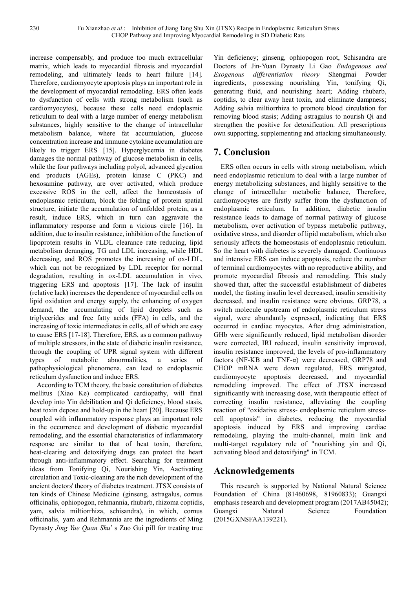increase compensably, and produce too much extracellular matrix, which leads to myocardial fibrosis and myocardial remodeling, and ultimately leads to heart failure [14]. Therefore, cardiomyocyte apoptosis plays an important role in the development of myocardial remodeling. ERS often leads to dysfunction of cells with strong metabolism (such as cardiomyocytes), because these cells need endoplasmic reticulum to deal with a large number of energy metabolism substances, highly sensitive to the change of intracellular metabolism balance, where fat accumulation, glucose concentration increase and immune cytokine accumulation are likely to trigger ERS [15]. Hyperglycemia in diabetes damages the normal pathway of glucose metabolism in cells, while the four pathways including polyol, advanced glycation end products (AGEs), protein kinase C (PKC) and hexosamine pathway, are over activated, which produce excessive ROS in the cell, affect the homeostasis of endoplasmic reticulum, block the folding of protein spatial structure, initiate the accumulation of unfolded protein, as a result, induce ERS, which in turn can aggravate the inflammatory response and form a vicious circle [16]. In addition, due to insulin resistance, inhibition of the function of lipoprotein results in VLDL clearance rate reducing, lipid metabolism deranging, TG and LDL increasing, while HDL decreasing, and ROS promotes the increasing of ox-LDL, which can not be recognized by LDL receptor for normal degradation, resulting in ox-LDL accumulation in vivo, triggering ERS and apoptosis [17]. The lack of insulin (relative lack) increases the dependence of myocardial cells on lipid oxidation and energy supply, the enhancing of oxygen demand, the accumulating of lipid droplets such as triglycerides and free fatty acids (FFA) in cells, and the increasing of toxic intermediates in cells, all of which are easy to cause ERS [17-18]. Therefore, ERS, as a common pathway of multiple stressors, in the state of diabetic insulin resistance, through the coupling of UPR signal system with different types of metabolic abnormalities, a series of pathophysiological phenomena, can lead to endoplasmic reticulum dysfunction and induce ERS.

According to TCM theory, the basic constitution of diabetes mellitus (Xiao Ke) complicated cardiopathy, will final develop into Yin debilitation and Qi deficiency, blood stasis, heat toxin depose and hold-up in the heart [20]. Because ERS coupled with inflammatory response plays an important role in the occurrence and development of diabetic myocardial remodeling, and the essential characteristics of inflammatory response are similar to that of heat toxin, therefore, heat-clearing and detoxifying drugs can protect the heart through anti-inflammatory effect. Searching for treatment ideas from Tonifying Qi, Nourishing Yin, Aactivating circulation and Toxic-cleaning are the rich development of the ancient doctors' theory of diabetes treatment. JTSX consists of ten kinds of Chinese Medicine (ginseng, astragalus, cornus officinalis, ophiopogon, rehmannia, rhubarb, rhizoma coptidis, yam, salvia miltiorrhiza, schisandra), in which, cornus officinalis, yam and Rehmannia are the ingredients of Ming Dynasty *Jing Yue Quan Shu*' s Zuo Gui pill for treating true

Yin deficiency; ginseng, ophiopogon root, Schisandra are Doctors of Jin-Yuan Dynasty Li Gao *Endogenous and Exogenous differentiation theory* Shengmai Powder ingredients, possessing nourishing Yin, tonifying Qi, generating fluid, and nourishing heart; Adding rhubarb, coptidis, to clear away heat toxin, and eliminate dampness; Adding salvia miltiorrhiza to promote blood circulation for removing blood stasis; Adding astragalus to nourish Qi and strengthen the positive for detoxification. All prescriptions own supporting, supplementing and attacking simultaneously.

# **7. Conclusion**

ERS often occurs in cells with strong metabolism, which need endoplasmic reticulum to deal with a large number of energy metabolizing substances, and highly sensitive to the change of intracellular metabolic balance, Therefore, cardiomyocytes are firstly suffer from the dysfunction of endoplasmic reticulum. In addition, diabetic insulin resistance leads to damage of normal pathway of glucose metabolism, over activation of bypass metabolic pathway, oxidative stress, and disorder of lipid metabolism, which also seriously affects the homeostasis of endoplasmic reticulum. So the heart with diabetes is severely damaged. Continuous and intensive ERS can induce apoptosis, reduce the number of terminal cardiomyocytes with no reproductive ability, and promote myocardial fibrosis and remodeling. This study showed that, after the successful establishment of diabetes model, the fasting insulin level decreased, insulin sensitivity decreased, and insulin resistance were obvious. GRP78, a switch molecule upstream of endoplasmic reticulum stress signal, were abundantly expressed, indicating that ERS occurred in cardiac myocytes. After drug administration, GHb were significantly reduced, lipid metabolism disorder were corrected, IRI reduced, insulin sensitivity improved, insulin resistance improved, the levels of pro-inflammatory factors (NF-KB and TNF- $\alpha$ ) were decreased, GRP78 and CHOP mRNA were down regulated, ERS mitigated, cardiomyocyte apoptosis decreased, and myocardial remodeling improved. The effect of JTSX increased significantly with increasing dose, with therapeutic effect of correcting insulin resistance, alleviating the coupling reaction of "oxidative stress- endoplasmic reticulum stresscell apoptosis" in diabetes, reducing the myocardial apoptosis induced by ERS and improving cardiac remodeling, playing the multi-channel, multi link and multi-target regulatory role of "nourishing yin and Qi, activating blood and detoxifying" in TCM.

# **Acknowledgements**

This research is supported by National Natural Science Foundation of China (81460698, 81960833); Guangxi emphasis research and development program (2017AB45042); Guangxi Natural Science Foundation (2015GXNSFAA139221).